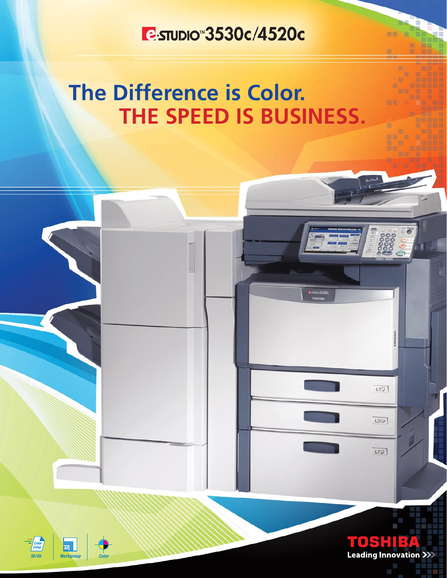## **E-STUDIO 3530c/4520c**

## **The Difference is Color. THE SPEED IS BUSINESS.**





m